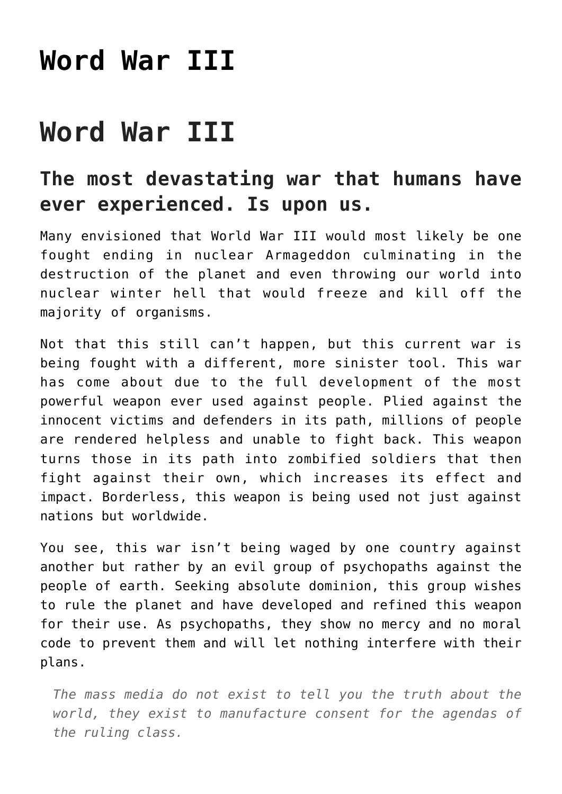## **[Word War III](https://freedomists.com/word-war-iii/)**

## **Word War III**

## **The most devastating war that humans have ever experienced. Is upon us.**

Many envisioned that World War III would most likely be one fought ending in nuclear Armageddon culminating in the destruction of the planet and even throwing our world into nuclear winter hell that would freeze and kill off the majority of organisms.

Not that this still can't happen, but this current war is being fought with a different, more sinister tool. This war has come about due to the full development of the most powerful weapon ever used against people. Plied against the innocent victims and defenders in its path, millions of people are rendered helpless and unable to fight back. This weapon turns those in its path into zombified soldiers that then fight against their own, which increases its effect and impact. Borderless, this weapon is being used not just against nations but worldwide.

You see, this war isn't being waged by one country against another but rather by an evil group of psychopaths against the people of earth. Seeking absolute dominion, this group wishes to rule the planet and have developed and refined this weapon for their use. As psychopaths, they show no mercy and no moral code to prevent them and will let nothing interfere with their plans.

*The mass media do not exist to tell you the truth about the world, they exist to manufacture consent for the agendas of the ruling class.*